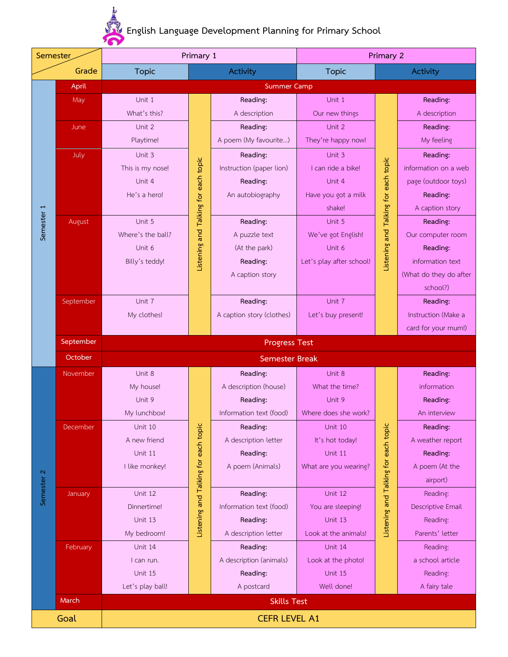**English Language Development Planning for Primary School**

| Semester              |           | Primary 1             |                                      |                           | Primary 2                     |                                      |                          |  |
|-----------------------|-----------|-----------------------|--------------------------------------|---------------------------|-------------------------------|--------------------------------------|--------------------------|--|
|                       | Grade     | <b>Topic</b>          |                                      | <b>Activity</b>           | <b>Topic</b>                  |                                      | <b>Activity</b>          |  |
|                       | April     |                       |                                      | <b>Summer Camp</b>        |                               |                                      |                          |  |
|                       | May       | Unit 1                |                                      | Reading:                  | Unit 1                        |                                      | Reading:                 |  |
|                       |           | What's this?          |                                      | A description             | Our new things                |                                      | A description            |  |
|                       | June      | Unit 2                |                                      | Reading:                  | Unit 2                        |                                      | Reading:                 |  |
|                       |           | Playtime!             |                                      | A poem (My favourite)     | They're happy now!            |                                      | My feeling               |  |
|                       | July      | Unit 3                |                                      | Reading:                  | Unit 3                        |                                      | Reading:                 |  |
|                       |           | This is my nose!      |                                      | Instruction (paper lion)  | I can ride a bike!            |                                      | information on a web     |  |
|                       |           | Unit 4                |                                      | Reading:                  | Unit 4                        |                                      | page (outdoor toys)      |  |
|                       |           | He's a hero!          |                                      | An autobiography          | Have you got a milk           |                                      | Reading:                 |  |
|                       |           |                       | Listening and Talking for each topic |                           | shake!                        | Listening and Talking for each topic | A caption story          |  |
| Semester 1            | August    | Unit 5                |                                      | Reading:                  | Unit 5                        |                                      | Reading:                 |  |
|                       |           | Where's the ball?     |                                      | A puzzle text             | We've got English!            |                                      | Our computer room        |  |
|                       |           | Unit 6                |                                      | (At the park)             | Unit 6                        |                                      | Reading:                 |  |
|                       |           | Billy's teddy!        |                                      | Reading:                  | Let's play after school!      |                                      | information text         |  |
|                       |           |                       |                                      | A caption story           |                               |                                      | (What do they do after   |  |
|                       |           |                       |                                      |                           |                               |                                      | school?)                 |  |
|                       | September | Unit 7                |                                      | Reading:                  | Unit 7                        |                                      | Reading:                 |  |
|                       |           | My clothes!           |                                      | A caption story (clothes) | Let's buy present!            |                                      | Instruction (Make a      |  |
|                       |           |                       |                                      |                           |                               |                                      | card for your mum!)      |  |
|                       | September | <b>Progress Test</b>  |                                      |                           |                               |                                      |                          |  |
|                       | October   | <b>Semester Break</b> |                                      |                           |                               |                                      |                          |  |
|                       | November  | Unit 8                |                                      | Reading:                  | Unit 8                        |                                      | Reading:                 |  |
|                       |           | My house!             |                                      | A description (house)     | What the time?                |                                      | information              |  |
|                       |           | Unit 9                |                                      | Reading:                  | Unit 9                        |                                      | Reading:                 |  |
|                       |           | My lunchbox!          |                                      | Information text (food)   | Where does she work?          |                                      | An interview             |  |
|                       | December  | Unit 10               |                                      | Reading:                  | Unit 10                       |                                      | Reading:                 |  |
|                       |           | A new friend          |                                      | A description letter      | It's hot today!               |                                      | A weather report         |  |
|                       |           | Unit 11               |                                      | Reading:                  | Unit 11                       |                                      | Reading:                 |  |
|                       |           | I like monkey!        |                                      | A poem (Animals)          | What are you wearing?         |                                      | A poem (At the           |  |
|                       |           |                       |                                      |                           |                               |                                      | airport)                 |  |
| Semester <sub>2</sub> | January   | Unit 12               | Listening and Talking for each topic | Reading:                  | Unit 12                       | Listening and Talking for each topic | Reading:                 |  |
|                       |           | Dinnertime!           |                                      | Information text (food)   | You are sleeping!             |                                      | Descriptive Email        |  |
|                       |           | Unit 13               |                                      | Reading:                  | Unit 13                       |                                      | Reading:                 |  |
|                       |           | My bedroom!           |                                      | A description letter      | Look at the animals!          |                                      | Parents' letter          |  |
|                       | February  | Unit 14               |                                      | Reading:                  | Unit 14                       |                                      | Reading:                 |  |
|                       |           | I can run.<br>Unit 15 |                                      | A description (animals)   | Look at the photo!<br>Unit 15 |                                      | a school article         |  |
|                       |           | Let's play ball!      |                                      | Reading:<br>A postcard    | Well done!                    |                                      | Reading:<br>A fairy tale |  |
|                       | March     |                       |                                      |                           |                               |                                      |                          |  |
|                       |           | <b>Skills Test</b>    |                                      |                           |                               |                                      |                          |  |
| Goal                  |           | <b>CEFR LEVEL A1</b>  |                                      |                           |                               |                                      |                          |  |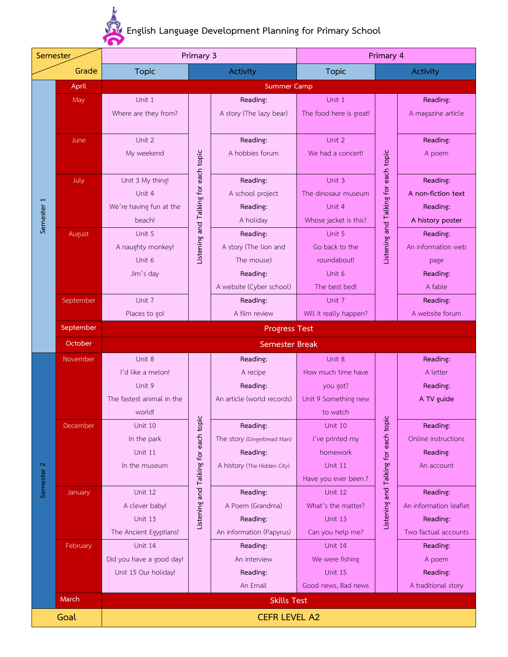**English Language Development Planning for Primary School**

| Semester              |           | Primary 3                 |                                      |                             | Primary 4               |                                      |                        |  |
|-----------------------|-----------|---------------------------|--------------------------------------|-----------------------------|-------------------------|--------------------------------------|------------------------|--|
| Grade                 |           | <b>Topic</b>              |                                      | <b>Activity</b>             | <b>Topic</b>            |                                      | <b>Activity</b>        |  |
| Semester 1            | April     |                           |                                      | <b>Summer Camp</b>          |                         |                                      |                        |  |
|                       | May       | Unit 1                    |                                      | Reading:                    | Unit 1                  |                                      | Reading:               |  |
|                       |           | Where are they from?      |                                      | A story (The lazy bear)     | The food here is great! |                                      | A magazine article     |  |
|                       |           |                           |                                      |                             |                         |                                      |                        |  |
|                       | June      | Unit 2                    |                                      | Reading:                    | Unit 2                  |                                      | Reading:               |  |
|                       |           | My weekend                | Listening and Talking for each topic | A hobbies forum             | We had a concert!       |                                      | A poem                 |  |
|                       | July      | Unit 3 My thing!          |                                      | Reading:                    | Unit 3                  |                                      | Reading:               |  |
|                       |           | Unit 4                    |                                      | A school project            | The dinosaur museum     |                                      | A non-fiction text     |  |
|                       |           | We're having fun at the   |                                      | Reading:                    | Unit 4                  |                                      | Reading:               |  |
|                       |           | beach!                    |                                      | A holiday                   | Whose jacket is this?   | Listening and Talking for each topic | A history poster       |  |
|                       | August    | Unit 5                    |                                      | Reading:                    | Unit 5                  |                                      | Reading:               |  |
|                       |           | A naughty monkey!         |                                      | A story (The lion and       | Go back to the          |                                      | An information web     |  |
|                       |           | Unit 6                    |                                      | The mouse)                  | roundabout!             |                                      | page                   |  |
|                       |           | Jim's day                 |                                      | Reading:                    | Unit 6                  |                                      | Reading:               |  |
|                       |           |                           |                                      | A website (Cyber school)    | The best bed!           |                                      | A fable                |  |
|                       | September | Unit 7                    |                                      | Reading:                    | Unit 7                  |                                      | Reading:               |  |
|                       |           | Places to go!             |                                      | A film review               | Will it really happen?  |                                      | A website forum        |  |
|                       | September | <b>Progress Test</b>      |                                      |                             |                         |                                      |                        |  |
|                       | October   | <b>Semester Break</b>     |                                      |                             |                         |                                      |                        |  |
|                       | November  | Unit 8                    |                                      | Reading:                    | Unit 8                  |                                      | Reading:               |  |
|                       |           | I'd like a melon!         |                                      | A recipe                    | How much time have      |                                      | A letter               |  |
|                       |           | Unit 9                    |                                      | Reading:                    | you got?                |                                      | Reading:               |  |
|                       |           | The fastest animal in the |                                      | An article (world records)  | Unit 9 Something new    |                                      | A TV guide             |  |
|                       |           | world!                    |                                      |                             | to watch                |                                      |                        |  |
|                       | December  | Unit 10                   |                                      | Reading:                    | Unit 10                 |                                      | Reading:               |  |
|                       |           | In the park               |                                      | The story (Gingerbread Man) | I've printed my         |                                      | Online instructions    |  |
|                       |           | Unit 11                   |                                      | Reading:                    | homework                |                                      | Reading:               |  |
| $\boldsymbol{\alpha}$ |           | In the museum             |                                      | A history (The Hidden City) | Unit 11                 |                                      | An account             |  |
| Semester              |           |                           | Listening and Talking for each topic |                             | Have you ever been.?    | Listening and Talking for each topic |                        |  |
|                       | January   | Unit 12                   |                                      | Reading:                    | Unit 12                 |                                      | Reading:               |  |
|                       |           | A clever baby!            |                                      | A Poem (Grandma)            | What's the matter?      |                                      | An information leaflet |  |
|                       |           | Unit 13                   |                                      | Reading:                    | Unit 13                 |                                      | Reading:               |  |
|                       |           | The Ancient Egyptians!    |                                      | An information (Papyrus)    | Can you help me?        |                                      | Two factual accounts   |  |
|                       | February  | Unit 14                   |                                      | Reading:                    | Unit 14                 |                                      | Reading:               |  |
|                       |           | Did you have a good day!  |                                      | An interview                | We were fishing         |                                      | A poem                 |  |
|                       |           | Unit 15 Our holiday!      |                                      | Reading:<br>An Email        | Unit 15                 |                                      | Reading:               |  |
|                       | March     |                           |                                      |                             | Good news, Bad news     |                                      | A traditional story    |  |
|                       |           | <b>Skills Test</b>        |                                      |                             |                         |                                      |                        |  |
| Goal                  |           | <b>CEFR LEVEL A2</b>      |                                      |                             |                         |                                      |                        |  |